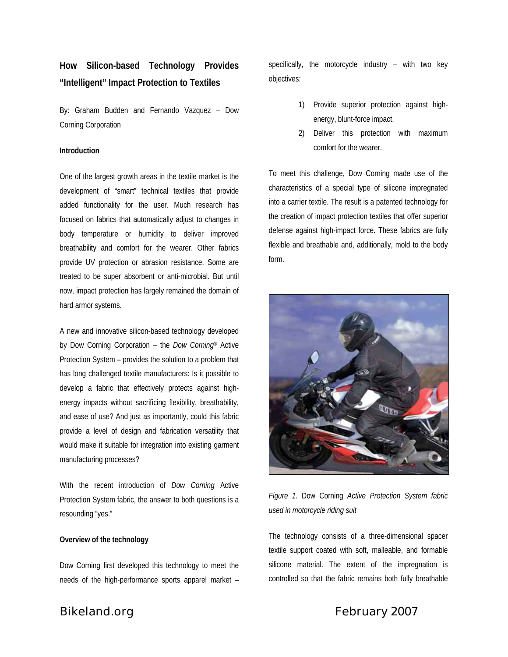# **How Silicon-based Technology Provides "Intelligent" Impact Protection to Textiles**

By: Graham Budden and Fernando Vazquez – Dow Corning Corporation

#### **Introduction**

One of the largest growth areas in the textile market is the development of "smart" technical textiles that provide added functionality for the user. Much research has focused on fabrics that automatically adjust to changes in body temperature or humidity to deliver improved breathability and comfort for the wearer. Other fabrics provide UV protection or abrasion resistance. Some are treated to be super absorbent or anti-microbial. But until now, impact protection has largely remained the domain of hard armor systems.

A new and innovative silicon-based technology developed by Dow Corning Corporation – the *Dow Corning*® Active Protection System – provides the solution to a problem that has long challenged textile manufacturers: Is it possible to develop a fabric that effectively protects against highenergy impacts without sacrificing flexibility, breathability, and ease of use? And just as importantly, could this fabric provide a level of design and fabrication versatility that would make it suitable for integration into existing garment manufacturing processes?

With the recent introduction of *Dow Corning* Active Protection System fabric, the answer to both questions is a resounding "yes."

#### **Overview of the technology**

Dow Corning first developed this technology to meet the needs of the high-performance sports apparel market –

specifically, the motorcycle industry – with two key objectives:

- 1) Provide superior protection against highenergy, blunt-force impact.
- 2) Deliver this protection with maximum comfort for the wearer.

To meet this challenge, Dow Corning made use of the characteristics of a special type of silicone impregnated into a carrier textile. The result is a patented technology for the creation of impact protection textiles that offer superior defense against high-impact force. These fabrics are fully flexible and breathable and, additionally, mold to the body form.



*Figure 1.* Dow Corning *Active Protection System fabric used in motorcycle riding suit* 

The technology consists of a three-dimensional spacer textile support coated with soft, malleable, and formable silicone material. The extent of the impregnation is controlled so that the fabric remains both fully breathable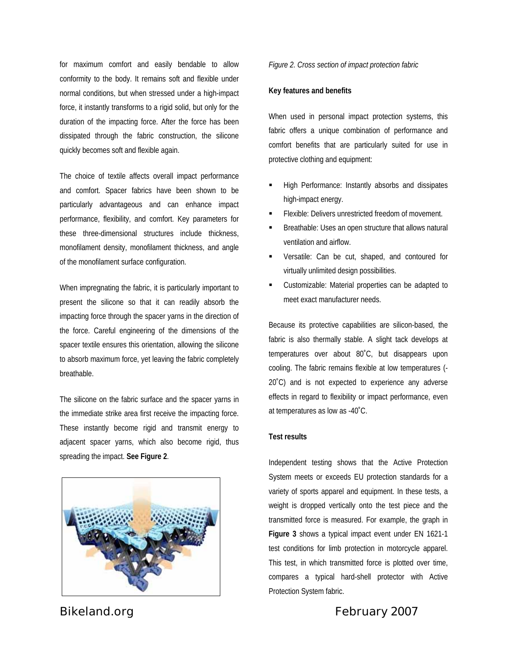for maximum comfort and easily bendable to allow conformity to the body. It remains soft and flexible under normal conditions, but when stressed under a high-impact force, it instantly transforms to a rigid solid, but only for the duration of the impacting force. After the force has been dissipated through the fabric construction, the silicone quickly becomes soft and flexible again.

The choice of textile affects overall impact performance and comfort. Spacer fabrics have been shown to be particularly advantageous and can enhance impact performance, flexibility, and comfort. Key parameters for these three-dimensional structures include thickness, monofilament density, monofilament thickness, and angle of the monofilament surface configuration.

When impregnating the fabric, it is particularly important to present the silicone so that it can readily absorb the impacting force through the spacer yarns in the direction of the force. Careful engineering of the dimensions of the spacer textile ensures this orientation, allowing the silicone to absorb maximum force, yet leaving the fabric completely breathable.

The silicone on the fabric surface and the spacer yarns in the immediate strike area first receive the impacting force. These instantly become rigid and transmit energy to adjacent spacer yarns, which also become rigid, thus spreading the impact. **See Figure 2**.



## *Figure 2. Cross section of impact protection fabric*

#### **Key features and benefits**

When used in personal impact protection systems, this fabric offers a unique combination of performance and comfort benefits that are particularly suited for use in protective clothing and equipment:

- High Performance: Instantly absorbs and dissipates high-impact energy.
- Flexible: Delivers unrestricted freedom of movement.
- Breathable: Uses an open structure that allows natural ventilation and airflow.
- Versatile: Can be cut, shaped, and contoured for virtually unlimited design possibilities.
- Customizable: Material properties can be adapted to meet exact manufacturer needs.

Because its protective capabilities are silicon-based, the fabric is also thermally stable. A slight tack develops at temperatures over about 80˚C, but disappears upon cooling. The fabric remains flexible at low temperatures (- 20˚C) and is not expected to experience any adverse effects in regard to flexibility or impact performance, even at temperatures as low as -40˚C.

#### **Test results**

Independent testing shows that the Active Protection System meets or exceeds EU protection standards for a variety of sports apparel and equipment. In these tests, a weight is dropped vertically onto the test piece and the transmitted force is measured. For example, the graph in **Figure 3** shows a typical impact event under EN 1621-1 test conditions for limb protection in motorcycle apparel. This test, in which transmitted force is plotted over time, compares a typical hard-shell protector with Active Protection System fabric.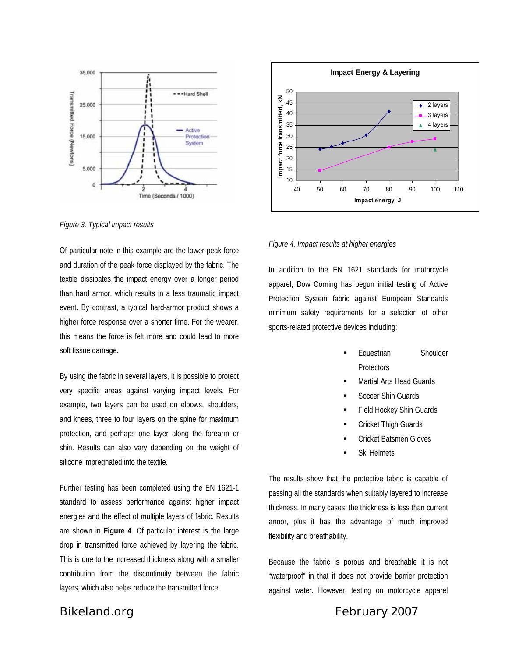



*Figure 3. Typical impact results* 

Of particular note in this example are the lower peak force and duration of the peak force displayed by the fabric. The textile dissipates the impact energy over a longer period than hard armor, which results in a less traumatic impact event. By contrast, a typical hard-armor product shows a higher force response over a shorter time. For the wearer, this means the force is felt more and could lead to more soft tissue damage.

By using the fabric in several layers, it is possible to protect very specific areas against varying impact levels. For example, two layers can be used on elbows, shoulders, and knees, three to four layers on the spine for maximum protection, and perhaps one layer along the forearm or shin. Results can also vary depending on the weight of silicone impregnated into the textile.

Further testing has been completed using the EN 1621-1 standard to assess performance against higher impact energies and the effect of multiple layers of fabric. Results are shown in **Figure 4**. Of particular interest is the large drop in transmitted force achieved by layering the fabric. This is due to the increased thickness along with a smaller contribution from the discontinuity between the fabric layers, which also helps reduce the transmitted force.

#### *Figure 4. Impact results at higher energies*

In addition to the EN 1621 standards for motorcycle apparel, Dow Corning has begun initial testing of Active Protection System fabric against European Standards minimum safety requirements for a selection of other sports-related protective devices including:

- Equestrian Shoulder **Protectors**
- Martial Arts Head Guards
- Soccer Shin Guards
- Field Hockey Shin Guards
- Cricket Thigh Guards
- Cricket Batsmen Gloves
- Ski Helmets

The results show that the protective fabric is capable of passing all the standards when suitably layered to increase thickness. In many cases, the thickness is less than current armor, plus it has the advantage of much improved flexibility and breathability.

Because the fabric is porous and breathable it is not "waterproof" in that it does not provide barrier protection against water. However, testing on motorcycle apparel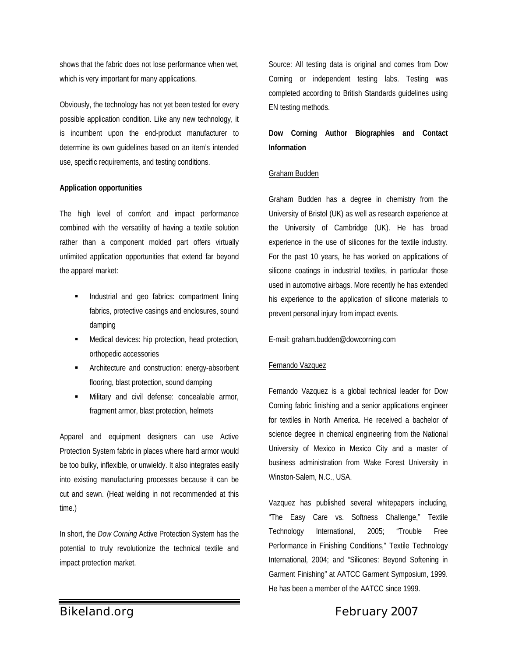shows that the fabric does not lose performance when wet, which is very important for many applications.

Obviously, the technology has not yet been tested for every possible application condition. Like any new technology, it is incumbent upon the end-product manufacturer to determine its own guidelines based on an item's intended use, specific requirements, and testing conditions.

## **Application opportunities**

The high level of comfort and impact performance combined with the versatility of having a textile solution rather than a component molded part offers virtually unlimited application opportunities that extend far beyond the apparel market:

- Industrial and geo fabrics: compartment lining fabrics, protective casings and enclosures, sound damping
- **Medical devices: hip protection, head protection,** orthopedic accessories
- Architecture and construction: energy-absorbent flooring, blast protection, sound damping
- Military and civil defense: concealable armor, fragment armor, blast protection, helmets

Apparel and equipment designers can use Active Protection System fabric in places where hard armor would be too bulky, inflexible, or unwieldy. It also integrates easily into existing manufacturing processes because it can be cut and sewn. (Heat welding in not recommended at this time.)

In short, the *Dow Corning* Active Protection System has the potential to truly revolutionize the technical textile and impact protection market.

Source: All testing data is original and comes from Dow Corning or independent testing labs. Testing was completed according to British Standards guidelines using EN testing methods.

## **Dow Corning Author Biographies and Contact Information**

## Graham Budden

Graham Budden has a degree in chemistry from the University of Bristol (UK) as well as research experience at the University of Cambridge (UK). He has broad experience in the use of silicones for the textile industry. For the past 10 years, he has worked on applications of silicone coatings in industrial textiles, in particular those used in automotive airbags. More recently he has extended his experience to the application of silicone materials to prevent personal injury from impact events.

## E-mail: graham.budden@dowcorning.com

## Fernando Vazquez

Fernando Vazquez is a global technical leader for Dow Corning fabric finishing and a senior applications engineer for textiles in North America. He received a bachelor of science degree in chemical engineering from the National University of Mexico in Mexico City and a master of business administration from Wake Forest University in Winston-Salem, N.C., USA.

Vazquez has published several whitepapers including, "The Easy Care vs. Softness Challenge," Textile Technology International, 2005; "Trouble Free Performance in Finishing Conditions," Textile Technology International, 2004; and "Silicones: Beyond Softening in Garment Finishing" at AATCC Garment Symposium, 1999. He has been a member of the AATCC since 1999.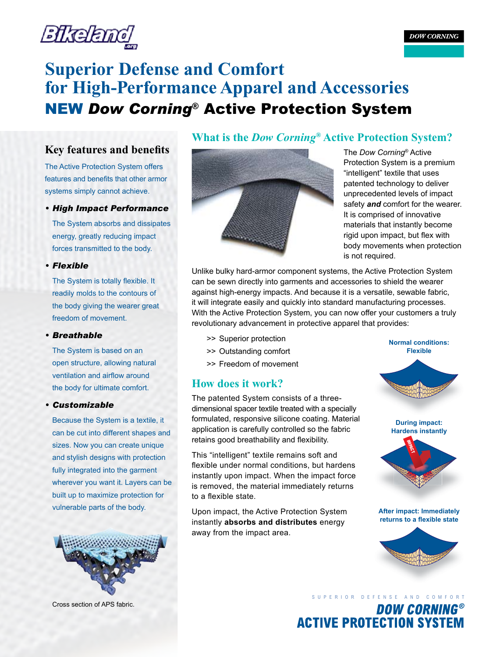

## **Key features and benefits**

The Active Protection System offers features and benefits that other armor systems simply cannot achieve.

*• High Impact Performance* 

The System absorbs and dissipates energy, greatly reducing impact forces transmitted to the body.

## *• Flexible*

The System is totally flexible. It readily molds to the contours of the body giving the wearer great freedom of movement.

#### *• Breathable*

The System is based on an open structure, allowing natural ventilation and airflow around the body for ultimate comfort.

#### *• Customizable*

Because the System is a textile, it can be cut into different shapes and sizes. Now you can create unique and stylish designs with protection fully integrated into the garment wherever you want it. Layers can be built up to maximize protection for vulnerable parts of the body.



Cross section of APS fabric.

## **What is the** *Dow Corning***® Active Protection System?**



The *Dow Corning*® Active Protection System is a premium "intelligent" textile that uses patented technology to deliver unprecedented levels of impact safety *and* comfort for the wearer. It is comprised of innovative materials that instantly become rigid upon impact, but flex with body movements when protection is not required.

Unlike bulky hard-armor component systems, the Active Protection System can be sewn directly into garments and accessories to shield the wearer against high-energy impacts. And because it is a versatile, sewable fabric, it will integrate easily and quickly into standard manufacturing processes. With the Active Protection System, you can now offer your customers a truly revolutionary advancement in protective apparel that provides:

- >> Superior protection
- >> Outstanding comfort
- >> Freedom of movement

## **How does it work?**

The patented System consists of a threedimensional spacer textile treated with a specially formulated, responsive silicone coating. Material application is carefully controlled so the fabric retains good breathability and flexibility.

This "intelligent" textile remains soft and flexible under normal conditions, but hardens instantly upon impact. When the impact force is removed, the material immediately returns to a flexible state.

Upon impact, the Active Protection System instantly **absorbs and distributes** energy away from the impact area.

**Normal conditions: Flexible**





**After impact: Immediately returns to a flexible state**



# S U P E R I O R D E F E N S E A N D C O M F O R T**DOW CORNING® ACTIVE PROTECTION SYSTEM**